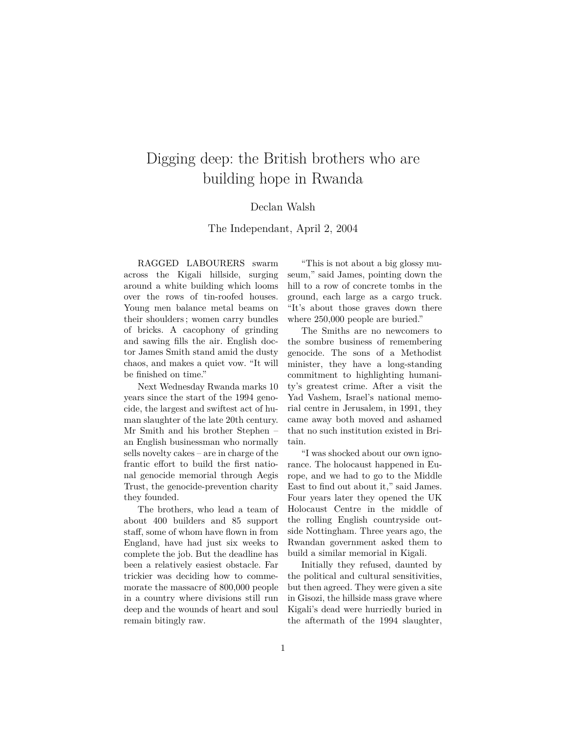## Digging deep: the British brothers who are building hope in Rwanda

## Declan Walsh

The Independant, April 2, 2004

RAGGED LABOURERS swarm across the Kigali hillside, surging around a white building which looms over the rows of tin-roofed houses. Young men balance metal beams on their shoulders ; women carry bundles of bricks. A cacophony of grinding and sawing fills the air. English doctor James Smith stand amid the dusty chaos, and makes a quiet vow. "It will be finished on time."

Next Wednesday Rwanda marks 10 years since the start of the 1994 genocide, the largest and swiftest act of human slaughter of the late 20th century. Mr Smith and his brother Stephen an English businessman who normally sells novelty cakes – are in charge of the frantic effort to build the first national genocide memorial through Aegis Trust, the genocide-prevention charity they founded.

The brothers, who lead a team of about 400 builders and 85 support staff, some of whom have flown in from England, have had just six weeks to complete the job. But the deadline has been a relatively easiest obstacle. Far trickier was deciding how to commemorate the massacre of 800,000 people in a country where divisions still run deep and the wounds of heart and soul remain bitingly raw.

"This is not about a big glossy museum," said James, pointing down the hill to a row of concrete tombs in the ground, each large as a cargo truck. "It's about those graves down there where 250,000 people are buried."

The Smiths are no newcomers to the sombre business of remembering genocide. The sons of a Methodist minister, they have a long-standing commitment to highlighting humanity's greatest crime. After a visit the Yad Vashem, Israel's national memorial centre in Jerusalem, in 1991, they came away both moved and ashamed that no such institution existed in Britain.

"I was shocked about our own ignorance. The holocaust happened in Europe, and we had to go to the Middle East to find out about it," said James. Four years later they opened the UK Holocaust Centre in the middle of the rolling English countryside outside Nottingham. Three years ago, the Rwandan government asked them to build a similar memorial in Kigali.

Initially they refused, daunted by the political and cultural sensitivities, but then agreed. They were given a site in Gisozi, the hillside mass grave where Kigali's dead were hurriedly buried in the aftermath of the 1994 slaughter,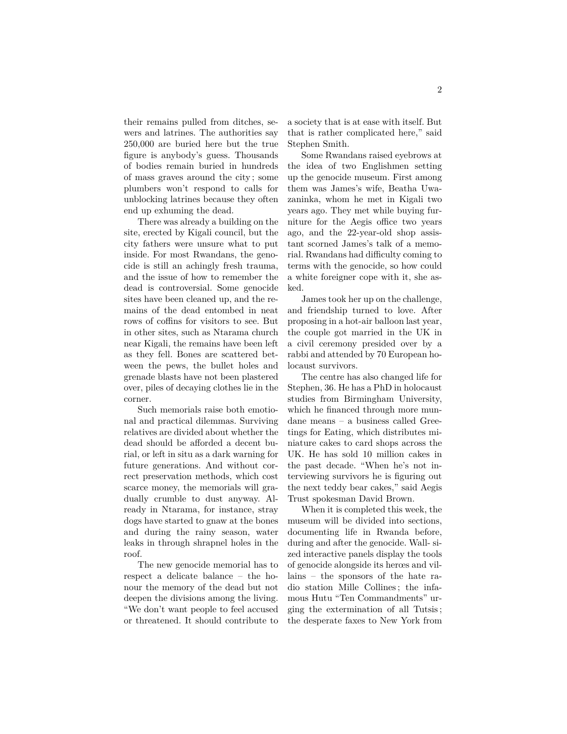their remains pulled from ditches, sewers and latrines. The authorities say 250,000 are buried here but the true figure is anybody's guess. Thousands of bodies remain buried in hundreds of mass graves around the city ; some plumbers won't respond to calls for unblocking latrines because they often end up exhuming the dead.

There was already a building on the site, erected by Kigali council, but the city fathers were unsure what to put inside. For most Rwandans, the genocide is still an achingly fresh trauma, and the issue of how to remember the dead is controversial. Some genocide sites have been cleaned up, and the remains of the dead entombed in neat rows of coffins for visitors to see. But in other sites, such as Ntarama church near Kigali, the remains have been left as they fell. Bones are scattered between the pews, the bullet holes and grenade blasts have not been plastered over, piles of decaying clothes lie in the corner.

Such memorials raise both emotional and practical dilemmas. Surviving relatives are divided about whether the dead should be afforded a decent burial, or left in situ as a dark warning for future generations. And without correct preservation methods, which cost scarce money, the memorials will gradually crumble to dust anyway. Already in Ntarama, for instance, stray dogs have started to gnaw at the bones and during the rainy season, water leaks in through shrapnel holes in the roof.

The new genocide memorial has to respect a delicate balance – the honour the memory of the dead but not deepen the divisions among the living. "We don't want people to feel accused or threatened. It should contribute to

a society that is at ease with itself. But that is rather complicated here," said Stephen Smith.

Some Rwandans raised eyebrows at the idea of two Englishmen setting up the genocide museum. First among them was James's wife, Beatha Uwazaninka, whom he met in Kigali two years ago. They met while buying furniture for the Aegis office two years ago, and the 22-year-old shop assistant scorned James's talk of a memorial. Rwandans had difficulty coming to terms with the genocide, so how could a white foreigner cope with it, she asked.

James took her up on the challenge, and friendship turned to love. After proposing in a hot-air balloon last year, the couple got married in the UK in a civil ceremony presided over by a rabbi and attended by 70 European holocaust survivors.

The centre has also changed life for Stephen, 36. He has a PhD in holocaust studies from Birmingham University, which he financed through more mundane means – a business called Greetings for Eating, which distributes miniature cakes to card shops across the UK. He has sold 10 million cakes in the past decade. "When he's not interviewing survivors he is figuring out the next teddy bear cakes," said Aegis Trust spokesman David Brown.

When it is completed this week, the museum will be divided into sections, documenting life in Rwanda before, during and after the genocide. Wall- sized interactive panels display the tools of genocide alongside its herœs and villains – the sponsors of the hate radio station Mille Collines ; the infamous Hutu "Ten Commandments" urging the extermination of all Tutsis ; the desperate faxes to New York from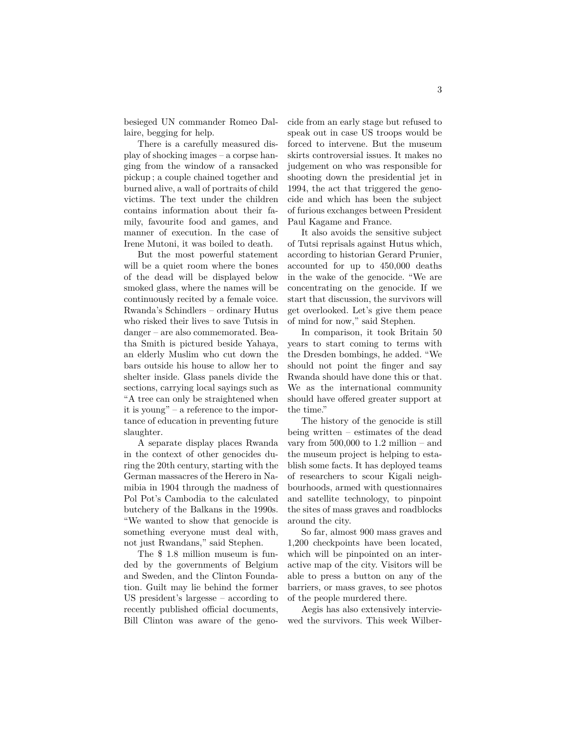besieged UN commander Romeo Dallaire, begging for help.

There is a carefully measured display of shocking images – a corpse hanging from the window of a ransacked pickup ; a couple chained together and burned alive, a wall of portraits of child victims. The text under the children contains information about their family, favourite food and games, and manner of execution. In the case of Irene Mutoni, it was boiled to death.

But the most powerful statement will be a quiet room where the bones of the dead will be displayed below smoked glass, where the names will be continuously recited by a female voice. Rwanda's Schindlers – ordinary Hutus who risked their lives to save Tutsis in danger – are also commemorated. Beatha Smith is pictured beside Yahaya, an elderly Muslim who cut down the bars outside his house to allow her to shelter inside. Glass panels divide the sections, carrying local sayings such as "A tree can only be straightened when it is young" – a reference to the importance of education in preventing future slaughter.

A separate display places Rwanda in the context of other genocides during the 20th century, starting with the German massacres of the Herero in Namibia in 1904 through the madness of Pol Pot's Cambodia to the calculated butchery of the Balkans in the 1990s. "We wanted to show that genocide is something everyone must deal with, not just Rwandans," said Stephen.

The \$ 1.8 million museum is funded by the governments of Belgium and Sweden, and the Clinton Foundation. Guilt may lie behind the former US president's largesse – according to recently published official documents, Bill Clinton was aware of the genocide from an early stage but refused to speak out in case US troops would be forced to intervene. But the museum skirts controversial issues. It makes no judgement on who was responsible for shooting down the presidential jet in 1994, the act that triggered the genocide and which has been the subject of furious exchanges between President Paul Kagame and France.

It also avoids the sensitive subject of Tutsi reprisals against Hutus which, according to historian Gerard Prunier, accounted for up to 450,000 deaths in the wake of the genocide. "We are concentrating on the genocide. If we start that discussion, the survivors will get overlooked. Let's give them peace of mind for now," said Stephen.

In comparison, it took Britain 50 years to start coming to terms with the Dresden bombings, he added. "We should not point the finger and say Rwanda should have done this or that. We as the international community should have offered greater support at the time."

The history of the genocide is still being written – estimates of the dead vary from  $500,000$  to  $1.2$  million – and the museum project is helping to establish some facts. It has deployed teams of researchers to scour Kigali neighbourhoods, armed with questionnaires and satellite technology, to pinpoint the sites of mass graves and roadblocks around the city.

So far, almost 900 mass graves and 1,200 checkpoints have been located, which will be pinpointed on an interactive map of the city. Visitors will be able to press a button on any of the barriers, or mass graves, to see photos of the people murdered there.

Aegis has also extensively interviewed the survivors. This week Wilber-